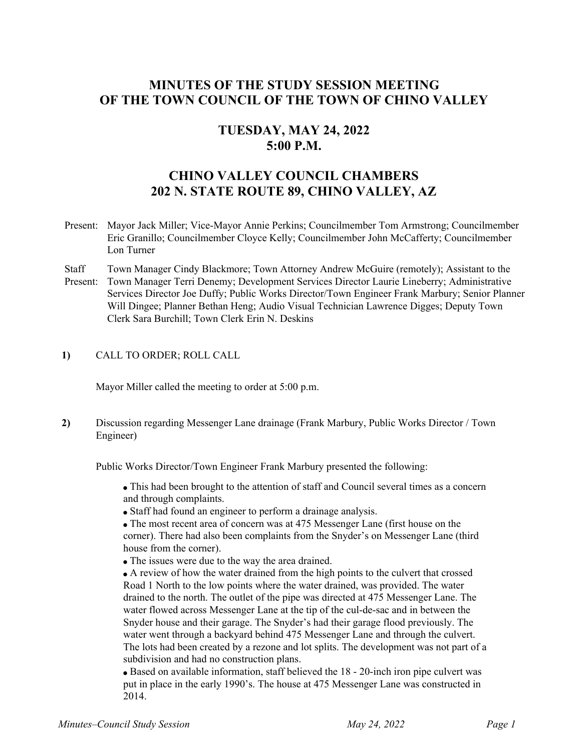# **MINUTES OF THE STUDY SESSION MEETING OF THE TOWN COUNCIL OF THE TOWN OF CHINO VALLEY**

## **TUESDAY, MAY 24, 2022 5:00 P.M.**

# **CHINO VALLEY COUNCIL CHAMBERS 202 N. STATE ROUTE 89, CHINO VALLEY, AZ**

- Present: Mayor Jack Miller; Vice-Mayor Annie Perkins; Councilmember Tom Armstrong; Councilmember Eric Granillo; Councilmember Cloyce Kelly; Councilmember John McCafferty; Councilmember Lon Turner
- **Staff** Present: Town Manager Cindy Blackmore; Town Attorney Andrew McGuire (remotely); Assistant to the Town Manager Terri Denemy; Development Services Director Laurie Lineberry; Administrative Services Director Joe Duffy; Public Works Director/Town Engineer Frank Marbury; Senior Planner Will Dingee; Planner Bethan Heng; Audio Visual Technician Lawrence Digges; Deputy Town Clerk Sara Burchill; Town Clerk Erin N. Deskins

## **1)** CALL TO ORDER; ROLL CALL

Mayor Miller called the meeting to order at 5:00 p.m.

**2)** Discussion regarding Messenger Lane drainage (Frank Marbury, Public Works Director / Town Engineer)

Public Works Director/Town Engineer Frank Marbury presented the following:

This had been brought to the attention of staff and Council several times as a concern and through complaints.

Staff had found an engineer to perform a drainage analysis.

The most recent area of concern was at 475 Messenger Lane (first house on the corner). There had also been complaints from the Snyder's on Messenger Lane (third house from the corner).

The issues were due to the way the area drained.

A review of how the water drained from the high points to the culvert that crossed Road 1 North to the low points where the water drained, was provided. The water drained to the north. The outlet of the pipe was directed at 475 Messenger Lane. The water flowed across Messenger Lane at the tip of the cul-de-sac and in between the Snyder house and their garage. The Snyder's had their garage flood previously. The water went through a backyard behind 475 Messenger Lane and through the culvert. The lots had been created by a rezone and lot splits. The development was not part of a subdivision and had no construction plans.

Based on available information, staff believed the 18 - 20-inch iron pipe culvert was put in place in the early 1990's. The house at 475 Messenger Lane was constructed in 2014.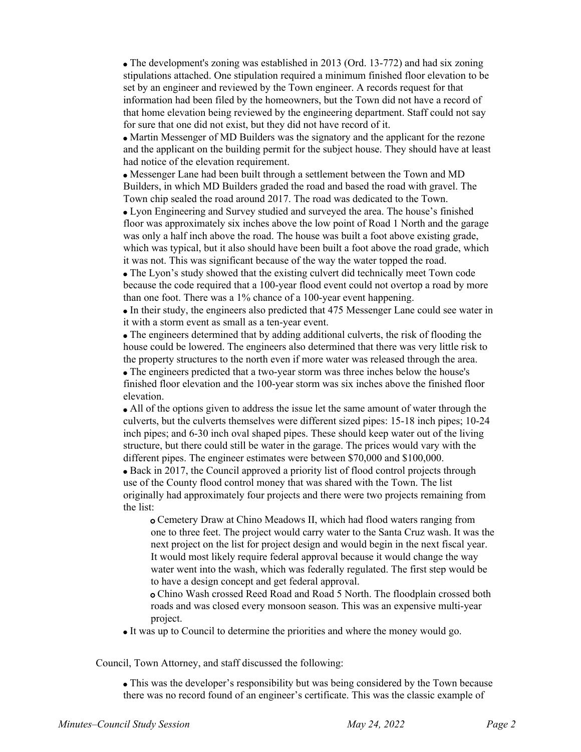The development's zoning was established in 2013 (Ord. 13-772) and had six zoning stipulations attached. One stipulation required a minimum finished floor elevation to be set by an engineer and reviewed by the Town engineer. A records request for that information had been filed by the homeowners, but the Town did not have a record of that home elevation being reviewed by the engineering department. Staff could not say for sure that one did not exist, but they did not have record of it.

• Martin Messenger of MD Builders was the signatory and the applicant for the rezone and the applicant on the building permit for the subject house. They should have at least had notice of the elevation requirement.

Messenger Lane had been built through a settlement between the Town and MD Builders, in which MD Builders graded the road and based the road with gravel. The Town chip sealed the road around 2017. The road was dedicated to the Town.

Lyon Engineering and Survey studied and surveyed the area. The house's finished floor was approximately six inches above the low point of Road 1 North and the garage was only a half inch above the road. The house was built a foot above existing grade, which was typical, but it also should have been built a foot above the road grade, which it was not. This was significant because of the way the water topped the road.

The Lyon's study showed that the existing culvert did technically meet Town code because the code required that a 100-year flood event could not overtop a road by more than one foot. There was a 1% chance of a 100-year event happening.

In their study, the engineers also predicted that 475 Messenger Lane could see water in it with a storm event as small as a ten-year event.

The engineers determined that by adding additional culverts, the risk of flooding the house could be lowered. The engineers also determined that there was very little risk to the property structures to the north even if more water was released through the area.

The engineers predicted that a two-year storm was three inches below the house's finished floor elevation and the 100-year storm was six inches above the finished floor elevation.

All of the options given to address the issue let the same amount of water through the culverts, but the culverts themselves were different sized pipes: 15-18 inch pipes; 10-24 inch pipes; and 6-30 inch oval shaped pipes. These should keep water out of the living structure, but there could still be water in the garage. The prices would vary with the different pipes. The engineer estimates were between \$70,000 and \$100,000.

Back in 2017, the Council approved a priority list of flood control projects through use of the County flood control money that was shared with the Town. The list originally had approximately four projects and there were two projects remaining from the list:

Cemetery Draw at Chino Meadows II, which had flood waters ranging from o one to three feet. The project would carry water to the Santa Cruz wash. It was the next project on the list for project design and would begin in the next fiscal year. It would most likely require federal approval because it would change the way water went into the wash, which was federally regulated. The first step would be to have a design concept and get federal approval.

Chino Wash crossed Reed Road and Road 5 North. The floodplain crossed both oroads and was closed every monsoon season. This was an expensive multi-year project.

It was up to Council to determine the priorities and where the money would go.

Council, Town Attorney, and staff discussed the following:

This was the developer's responsibility but was being considered by the Town because there was no record found of an engineer's certificate. This was the classic example of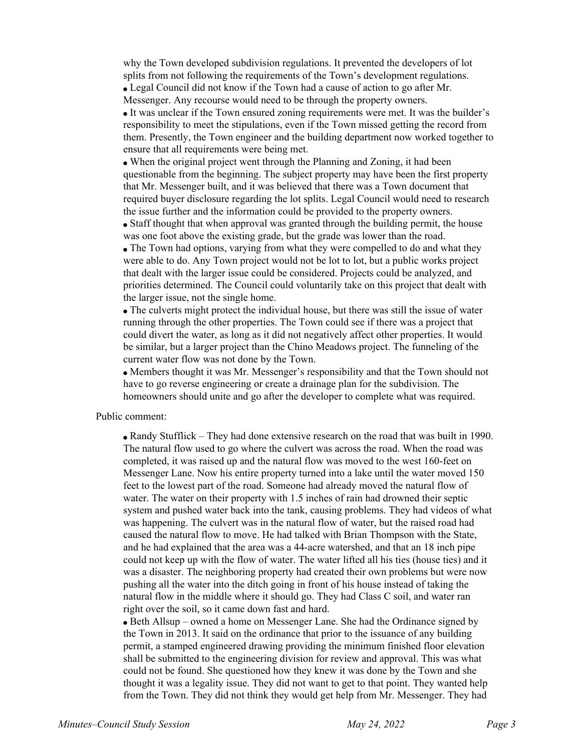why the Town developed subdivision regulations. It prevented the developers of lot splits from not following the requirements of the Town's development regulations. Legal Council did not know if the Town had a cause of action to go after Mr. Messenger. Any recourse would need to be through the property owners.

It was unclear if the Town ensured zoning requirements were met. It was the builder's responsibility to meet the stipulations, even if the Town missed getting the record from them. Presently, the Town engineer and the building department now worked together to ensure that all requirements were being met.

When the original project went through the Planning and Zoning, it had been questionable from the beginning. The subject property may have been the first property that Mr. Messenger built, and it was believed that there was a Town document that required buyer disclosure regarding the lot splits. Legal Council would need to research the issue further and the information could be provided to the property owners.

Staff thought that when approval was granted through the building permit, the house was one foot above the existing grade, but the grade was lower than the road.

• The Town had options, varying from what they were compelled to do and what they were able to do. Any Town project would not be lot to lot, but a public works project that dealt with the larger issue could be considered. Projects could be analyzed, and priorities determined. The Council could voluntarily take on this project that dealt with the larger issue, not the single home.

The culverts might protect the individual house, but there was still the issue of water running through the other properties. The Town could see if there was a project that could divert the water, as long as it did not negatively affect other properties. It would be similar, but a larger project than the Chino Meadows project. The funneling of the current water flow was not done by the Town.

Members thought it was Mr. Messenger's responsibility and that the Town should not have to go reverse engineering or create a drainage plan for the subdivision. The homeowners should unite and go after the developer to complete what was required.

#### Public comment:

Randy Stufflick – They had done extensive research on the road that was built in 1990. The natural flow used to go where the culvert was across the road. When the road was completed, it was raised up and the natural flow was moved to the west 160-feet on Messenger Lane. Now his entire property turned into a lake until the water moved 150 feet to the lowest part of the road. Someone had already moved the natural flow of water. The water on their property with 1.5 inches of rain had drowned their septic system and pushed water back into the tank, causing problems. They had videos of what was happening. The culvert was in the natural flow of water, but the raised road had caused the natural flow to move. He had talked with Brian Thompson with the State, and he had explained that the area was a 44-acre watershed, and that an 18 inch pipe could not keep up with the flow of water. The water lifted all his ties (house ties) and it was a disaster. The neighboring property had created their own problems but were now pushing all the water into the ditch going in front of his house instead of taking the natural flow in the middle where it should go. They had Class C soil, and water ran right over the soil, so it came down fast and hard.

• Beth Allsup – owned a home on Messenger Lane. She had the Ordinance signed by the Town in 2013. It said on the ordinance that prior to the issuance of any building permit, a stamped engineered drawing providing the minimum finished floor elevation shall be submitted to the engineering division for review and approval. This was what could not be found. She questioned how they knew it was done by the Town and she thought it was a legality issue. They did not want to get to that point. They wanted help from the Town. They did not think they would get help from Mr. Messenger. They had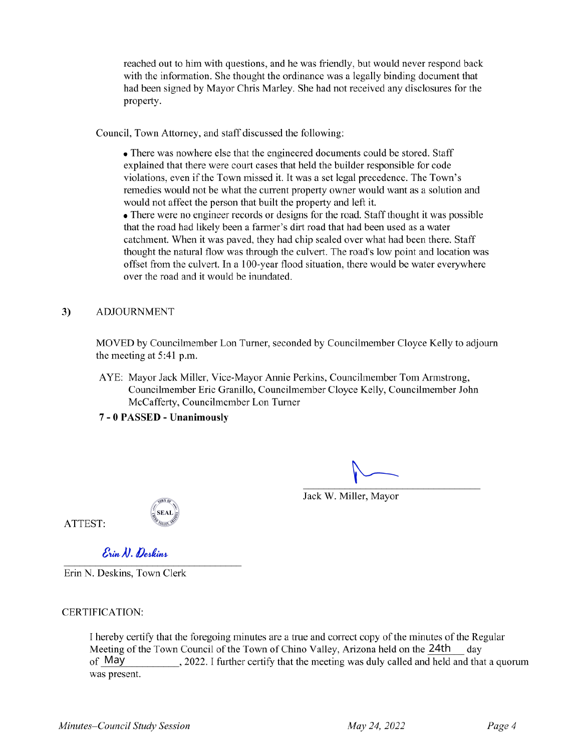reached out to him with questions, and he was friendly, but would never respond back with the information. She thought the ordinance was a legally binding document that had been signed by Mayor Chris Marley. She had not received any disclosures for the property.

Council, Town Attorney, and staff discussed the following:

• There was nowhere else that the engineered documents could be stored. Staff explained that there were court cases that held the builder responsible for code violations, even if the Town missed it. It was a set legal precedence. The Town's remedies would not be what the current property owner would want as a solution and would not affect the person that built the property and left it.

• There were no engineer records or designs for the road. Staff thought it was possible that the road had likely been a farmer's dirt road that had been used as a water catchment. When it was paved, they had chip sealed over what had been there. Staff thought the natural flow was through the culvert. The road's low point and location was offset from the culvert. In a 100-year flood situation, there would be water everywhere over the road and it would be inundated.

### 3) ADJOURNMENT

MOVED by Councilmember Lon Turner, seconded by Councilmember Cloyce Kelly to adjourn the meeting at 5:41 p.m.

AYE: Mayor Jack Miller, Vice-Mayor Annie Perkins, Councilmember Tom Armstrong, Councilmember Eric Granillo, Councilmember Cloyce Kelly, Councilmember John McCafferty, Councilmember Lon Turner

## **7 - 0 PASSED - Unanimously**

Jack W. Miller, Mayor

ATTEST:

 $\mathcal{E}$ *in N. Deskins* 

Erin N. Deskins, Town Clerk

## CERTIFICATION:

Meeting of the Town Council of the Town of Chino Valley, Arizona held on the 24th day of May I hereby certify that the foregoing minutes are a true and correct copy of the minutes of the Regular , 2022. I further certify that the meeting was duly called and held and that a quorum was present.